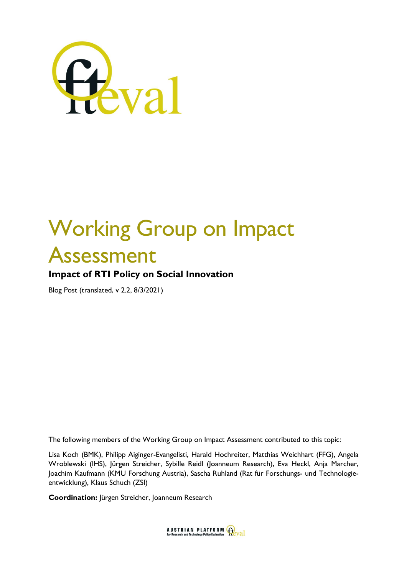

# Working Group on Impact Assessment

**Impact of RTI Policy on Social Innovation** 

Blog Post (translated, v 2.2, 8/3/2021)

The following members of the Working Group on Impact Assessment contributed to this topic:

Lisa Koch (BMK), Philipp Aiginger-Evangelisti, Harald Hochreiter, Matthias Weichhart (FFG), Angela Wroblewski (IHS), Jürgen Streicher, Sybille Reidl (Joanneum Research), Eva Heckl, Anja Marcher, Joachim Kaufmann (KMU Forschung Austria), Sascha Ruhland (Rat für Forschungs- und Technologieentwicklung), Klaus Schuch (ZSI)

**Coordination:** Jürgen Streicher, Joanneum Research

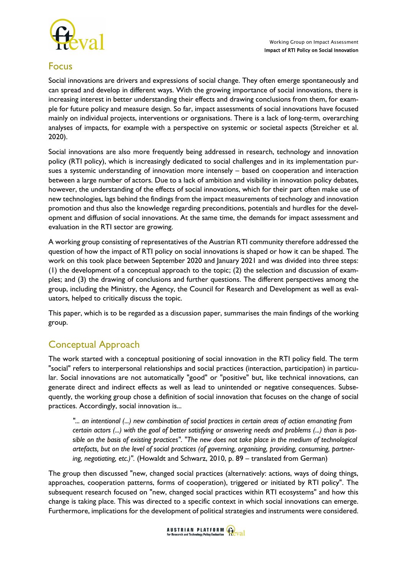

## Focus

Social innovations are drivers and expressions of social change. They often emerge spontaneously and can spread and develop in different ways. With the growing importance of social innovations, there is increasing interest in better understanding their effects and drawing conclusions from them, for example for future policy and measure design. So far, impact assessments of social innovations have focused mainly on individual projects, interventions or organisations. There is a lack of long-term, overarching analyses of impacts, for example with a perspective on systemic or societal aspects (Streicher et al. 2020).

Social innovations are also more frequently being addressed in research, technology and innovation policy (RTI policy), which is increasingly dedicated to social challenges and in its implementation pursues a systemic understanding of innovation more intensely – based on cooperation and interaction between a large number of actors. Due to a lack of ambition and visibility in innovation policy debates, however, the understanding of the effects of social innovations, which for their part often make use of new technologies, lags behind the findings from the impact measurements of technology and innovation promotion and thus also the knowledge regarding preconditions, potentials and hurdles for the development and diffusion of social innovations. At the same time, the demands for impact assessment and evaluation in the RTI sector are growing.

A working group consisting of representatives of the Austrian RTI community therefore addressed the question of how the impact of RTI policy on social innovations is shaped or how it can be shaped. The work on this took place between September 2020 and January 2021 and was divided into three steps: (1) the development of a conceptual approach to the topic; (2) the selection and discussion of examples; and (3) the drawing of conclusions and further questions. The different perspectives among the group, including the Ministry, the Agency, the Council for Research and Development as well as evaluators, helped to critically discuss the topic.

This paper, which is to be regarded as a discussion paper, summarises the main findings of the working group.

## Conceptual Approach

The work started with a conceptual positioning of social innovation in the RTI policy field. The term "social" refers to interpersonal relationships and social practices (interaction, participation) in particular. Social innovations are not automatically "good" or "positive" but, like technical innovations, can generate direct and indirect effects as well as lead to unintended or negative consequences. Subsequently, the working group chose a definition of social innovation that focuses on the change of social practices. Accordingly, social innovation is...

*"... an intentional (...) new combination of social practices in certain areas of action emanating from certain actors (...) with the goal of better satisfying or answering needs and problems (...) than is possible on the basis of existing practices". "The new does not take place in the medium of technological artefacts, but on the level of social practices (of governing, organising, providing, consuming, partnering, negotiating, etc.)".* (Howaldt and Schwarz, 2010, p. 89 – translated from German)

The group then discussed "new, changed social practices (alternatively: actions, ways of doing things, approaches, cooperation patterns, forms of cooperation), triggered or initiated by RTI policy". The subsequent research focused on "new, changed social practices within RTI ecosystems" and how this change is taking place. This was directed to a specific context in which social innovations can emerge. Furthermore, implications for the development of political strategies and instruments were considered.

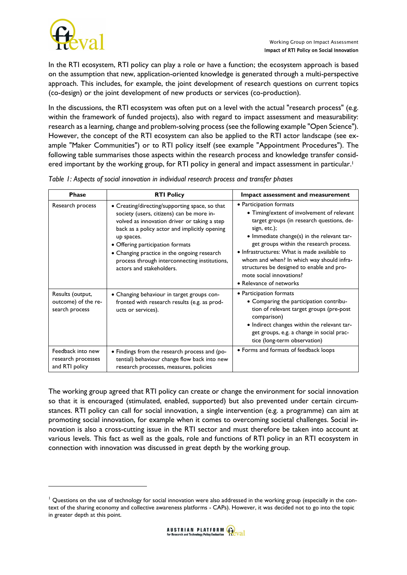

In the RTI ecosystem, RTI policy can play a role or have a function; the ecosystem approach is based on the assumption that new, application-oriented knowledge is generated through a multi-perspective approach. This includes, for example, the joint development of research questions on current topics (co-design) or the joint development of new products or services (co-production).

In the discussions, the RTI ecosystem was often put on a level with the actual "research process" (e.g. within the framework of funded projects), also with regard to impact assessment and measurability: research as a learning, change and problem-solving process (see the following example "Open Science"). However, the concept of the RTI ecosystem can also be applied to the RTI actor landscape (see example "Maker Communities") or to RTI policy itself (see example "Appointment Procedures"). The following table summarises those aspects within the research process and knowledge transfer considered important by the working group, for RTI policy in general and impact assessment in particular. 1

| <b>Phase</b>                                              | <b>RTI Policy</b>                                                                                                                                                                                                                                                                                                                                                          | Impact assessment and measurement                                                                                                                                                                                                                                                                                                                                                                                            |
|-----------------------------------------------------------|----------------------------------------------------------------------------------------------------------------------------------------------------------------------------------------------------------------------------------------------------------------------------------------------------------------------------------------------------------------------------|------------------------------------------------------------------------------------------------------------------------------------------------------------------------------------------------------------------------------------------------------------------------------------------------------------------------------------------------------------------------------------------------------------------------------|
| Research process                                          | • Creating/directing/supporting space, so that<br>society (users, citizens) can be more in-<br>volved as innovation driver or taking a step<br>back as a policy actor and implicitly opening<br>up spaces.<br>• Offering participation formats<br>• Changing practice in the ongoing research<br>process through interconnecting institutions,<br>actors and stakeholders. | • Participation formats<br>• Timing/extent of involvement of relevant<br>target groups (in research questions, de-<br>sign, etc.);<br>• Immediate change(s) in the relevant tar-<br>get groups within the research process.<br>• Infrastructures: What is made available to<br>whom and when? In which way should infra-<br>structures be designed to enable and pro-<br>mote social innovations?<br>• Relevance of networks |
| Results (output,<br>outcome) of the re-<br>search process | • Changing behaviour in target groups con-<br>fronted with research results (e.g. as prod-<br>ucts or services).                                                                                                                                                                                                                                                           | • Participation formats<br>• Comparing the participation contribu-<br>tion of relevant target groups (pre-post<br>comparison)<br>· Indirect changes within the relevant tar-<br>get groups, e.g. a change in social prac-<br>tice (long-term observation)                                                                                                                                                                    |
| Feedback into new<br>research processes<br>and RTI policy | · Findings from the research process and (po-<br>tential) behaviour change flow back into new<br>research processes, measures, policies                                                                                                                                                                                                                                    | • Forms and formats of feedback loops                                                                                                                                                                                                                                                                                                                                                                                        |

*Table 1: Aspects of social innovation in individual research process and transfer phases*

The working group agreed that RTI policy can create or change the environment for social innovation so that it is encouraged (stimulated, enabled, supported) but also prevented under certain circumstances. RTI policy can call for social innovation, a single intervention (e.g. a programme) can aim at promoting social innovation, for example when it comes to overcoming societal challenges. Social innovation is also a cross-cutting issue in the RTI sector and must therefore be taken into account at various levels. This fact as well as the goals, role and functions of RTI policy in an RTI ecosystem in connection with innovation was discussed in great depth by the working group.

 $1$  Questions on the use of technology for social innovation were also addressed in the working group (especially in the context of the sharing economy and collective awareness platforms - CAPs). However, it was decided not to go into the topic in greater depth at this point.

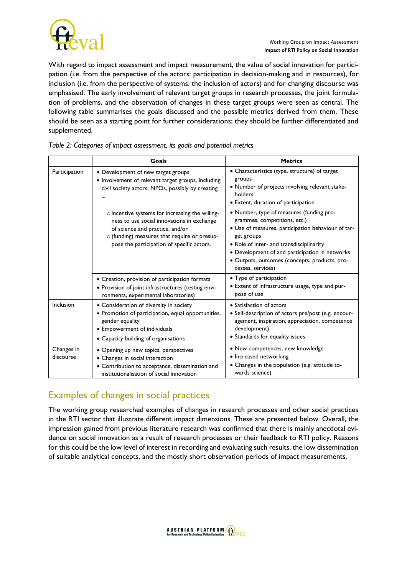

With regard to impact assessment and impact measurement, the value of social innovation for participation (i.e. from the perspective of the actors: participation in decision-making and in resources), for inclusion (i.e. from the perspective of systems: the inclusion of actors) and for changing discourse was emphasised. The early involvement of relevant target groups in research processes, the joint formulation of problems, and the observation of changes in these target groups were seen as central. The following table summarises the goals discussed and the possible metrics derived from them. These should be seen as a starting point for further considerations; they should be further differentiated and supplemented.

|                         | Goals                                                                                                                                                                                                                                | <b>Metrics</b>                                                                                                                                                                                                                                                                                                   |
|-------------------------|--------------------------------------------------------------------------------------------------------------------------------------------------------------------------------------------------------------------------------------|------------------------------------------------------------------------------------------------------------------------------------------------------------------------------------------------------------------------------------------------------------------------------------------------------------------|
| Participation           | • Development of new target groups<br>• Involvement of relevant target groups, including<br>civil society actors, NPOs, possibly by creating<br>                                                                                     | • Characteristics (type, structure) of target<br>groups<br>• Number of projects involving relevant stake-<br>holders<br>• Extent, duration of participation                                                                                                                                                      |
|                         | $\circ$ incentive systems for increasing the willing-<br>ness to use social innovations in exchange<br>of science and practice, and/or<br>o (funding) measures that require or presup-<br>pose the participation of specific actors. | • Number, type of measures (funding pro-<br>grammes, competitions, etc.)<br>· Use of measures, participation behaviour of tar-<br>get groups<br>• Role of inter- and transdisciplinarity<br>• Development of and participation in networks<br>· Outputs, outcomes (concepts, products, pro-<br>cesses, services) |
|                         | • Creation, provision of participation formats<br>• Provision of joint infrastructures (testing envi-<br>ronments, experimental laboratories)                                                                                        | • Type of participation<br>• Extent of infrastructure usage, type and pur-<br>pose of use                                                                                                                                                                                                                        |
| Inclusion               | • Consideration of diversity in society<br>• Promotion of participation, equal opportunities,<br>gender equality<br>• Empowerment of individuals<br>• Capacity building of organisations                                             | • Satisfaction of actors<br>• Self-description of actors pre/post (e.g. encour-<br>agement, inspiration, appreciation, competence<br>development)<br>• Standards for equality issues                                                                                                                             |
| Changes in<br>discourse | • Opening up new topics, perspectives<br>• Changes in social interaction<br>• Contribution to acceptance, dissemination and<br>institutionalisation of social innovation                                                             | • New competences, new knowledge<br>· Increased networking<br>• Changes in the population (e.g. attitude to-<br>wards science)                                                                                                                                                                                   |

## Examples of changes in social practices

The working group researched examples of changes in research processes and other social practices in the RTI sector that illustrate different impact dimensions. These are presented below. Overall, the impression gained from previous literature research was confirmed that there is mainly anecdotal evidence on social innovation as a result of research processes or their feedback to RTI policy. Reasons for this could be the low level of interest in recording and evaluating such results, the low dissemination of suitable analytical concepts, and the mostly short observation periods of impact measurements.

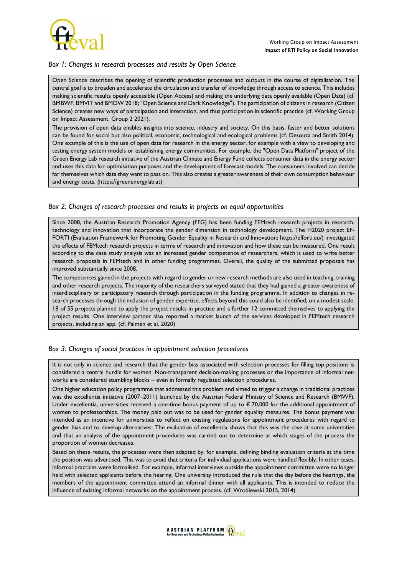

#### *Box 1: Changes in research processes and results by Open Science*

Open Science describes the opening of scientific production processes and outputs in the course of digitalisation. The central goal is to broaden and accelerate the circulation and transfer of knowledge through access to science. This includes making scientific results openly accessible (Open Access) and making the underlying data openly available (Open Data) (cf. BMBWF, BMVIT and BMDW 2018; "Open Science and Dark Knowledge"). The participation of citizens in research (Citizen Science) creates new ways of participation and interaction, and thus participation in scientific practice (cf. Working Group on Impact Assessment. Group 2 2021).

The provision of open data enables insights into science, industry and society. On this basis, faster and better solutions can be found for social but also political, economic, technological and ecological problems (cf. Desouza and Smith 2014). One example of this is the use of open data for research in the energy sector, for example with a view to developing and testing energy system models or establishing energy communities. For example, the "Open Data Platform" project of the Green Energy Lab research initiative of the Austrian Climate and Energy Fund collects consumer data in the energy sector and uses this data for optimisation purposes and the development of forecast models. The consumers involved can decide for themselves which data they want to pass on. This also creates a greater awareness of their own consumption behaviour and energy costs. (https://greenenergylab.at)

#### *Box 2: Changes of research processes and results in projects on equal opportunities*

Since 2008, the Austrian Research Promotion Agency (FFG) has been funding FEMtech research projects in research, technology and innovation that incorporate the gender dimension in technology development. The H2020 project EF-FORTI (Evaluation Framework for Promoting Gender Equality in Research and Innovation; https://efforti.eu/) investigated the effects of FEMtech research projects in terms of research and innovation and how these can be measured. One result according to the case study analysis was an increased gender competence of researchers, which is used to write better research proposals in FEMtech and in other funding programmes. Overall, the quality of the submitted proposals has improved substantially since 2008.

The competences gained in the projects with regard to gender or new research methods are also used in teaching, training and other research projects. The majority of the researchers surveyed stated that they had gained a greater awareness of interdisciplinary or participatory research through participation in the funding programme. In addition to changes in research processes through the inclusion of gender expertise, effects beyond this could also be identified, on a modest scale: 18 of 55 projects planned to apply the project results in practice and a further 12 committed themselves to applying the project results. One interview partner also reported a market launch of the services developed in FEMtech research projects, including an app. (cf. Palmén et al. 2020)

#### *Box 3: Changes of social practices in appointment selection procedures*

It is not only in science and research that the gender bias associated with selection processes for filling top positions is considered a central hurdle for women. Non-transparent decision-making processes or the importance of informal networks are considered stumbling blocks – even in formally regulated selection procedures.

One higher education policy programme that addressed this problem and aimed to trigger a change in traditional practices was the excellentia initiative (2007–2011) launched by the Austrian Federal Ministry of Science and Research (BMWF). Under excellentia, universities received a one-time bonus payment of up to  $\epsilon$  70,000 for the additional appointment of women to professorships. The money paid out was to be used for gender equality measures. The bonus payment was intended as an incentive for universities to reflect on existing regulations for appointment procedures with regard to gender bias and to develop alternatives. The evaluation of excellentia shows that this was the case at some universities and that an analysis of the appointment procedures was carried out to determine at which stages of the process the proportion of women decreases.

Based on these results, the processes were then adapted by, for example, defining binding evaluation criteria at the time the position was advertised. This was to avoid that criteria for individual applications were handled flexibly. In other cases, informal practices were formalised. For example, informal interviews outside the appointment committee were no longer held with selected applicants before the hearing. One university introduced the rule that the day before the hearings, the members of the appointment committee attend an informal dinner with all applicants. This is intended to reduce the influence of existing informal networks on the appointment process. (cf. Wroblewski 2015, 2014)

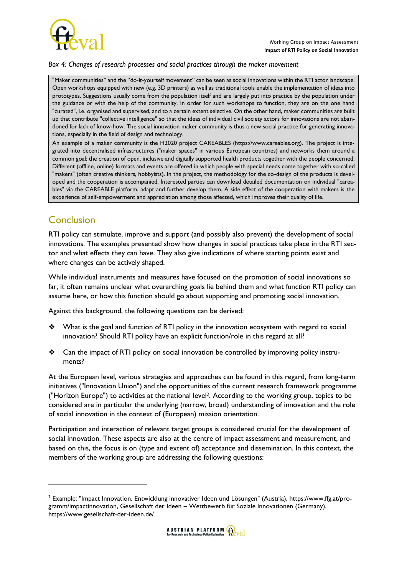

#### *Box 4: Changes of research processes and social practices through the maker movement*

"Maker communities" and the "do-it-yourself movement" can be seen as social innovations within the RTI actor landscape. Open workshops equipped with new (e.g. 3D printers) as well as traditional tools enable the implementation of ideas into prototypes. Suggestions usually come from the population itself and are largely put into practice by the population under the guidance or with the help of the community. In order for such workshops to function, they are on the one hand "curated", i.e. organised and supervised, and to a certain extent selective. On the other hand, maker communities are built up that contribute "collective intelligence" so that the ideas of individual civil society actors for innovations are not abandoned for lack of know-how. The social innovation maker community is thus a new social practice for generating innovations, especially in the field of design and technology.

An example of a maker community is the H2020 project CAREABLES (https://www.careables.org). The project is integrated into decentralised infrastructures ("maker spaces" in various European countries) and networks them around a common goal: the creation of open, inclusive and digitally supported health products together with the people concerned. Different (offline, online) formats and events are offered in which people with special needs come together with so-called "makers" (often creative thinkers, hobbyists). In the project, the methodology for the co-design of the products is developed and the cooperation is accompanied. Interested parties can download detailed documentation on individual "careables" via the CAREABLE platform, adapt and further develop them. A side effect of the cooperation with makers is the experience of self-empowerment and appreciation among those affected, which improves their quality of life.

## **Conclusion**

RTI policy can stimulate, improve and support (and possibly also prevent) the development of social innovations. The examples presented show how changes in social practices take place in the RTI sector and what effects they can have. They also give indications of where starting points exist and where changes can be actively shaped.

While individual instruments and measures have focused on the promotion of social innovations so far, it often remains unclear what overarching goals lie behind them and what function RTI policy can assume here, or how this function should go about supporting and promoting social innovation.

Against this background, the following questions can be derived:

- ❖ What is the goal and function of RTI policy in the innovation ecosystem with regard to social innovation? Should RTI policy have an explicit function/role in this regard at all?
- ❖ Can the impact of RTI policy on social innovation be controlled by improving policy instruments?

At the European level, various strategies and approaches can be found in this regard, from long-term initiatives ("Innovation Union") and the opportunities of the current research framework programme ("Horizon Europe") to activities at the national level2. According to the working group, topics to be considered are in particular the underlying (narrow, broad) understanding of innovation and the role of social innovation in the context of (European) mission orientation.

Participation and interaction of relevant target groups is considered crucial for the development of social innovation. These aspects are also at the centre of impact assessment and measurement, and based on this, the focus is on (type and extent of) acceptance and dissemination. In this context, the members of the working group are addressing the following questions:

 $^{\rm 2}$  Example: "Impact Innovation. Entwicklung innovativer Ideen und Lösungen" (Austria), https://www.ffg.at/programm/impactinnovation, Gesellschaft der Ideen – Wettbewerb für Soziale Innovationen (Germany), https://www.gesellschaft-der-ideen.de/

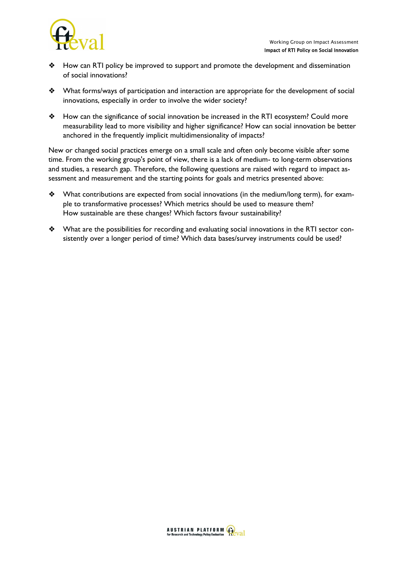

- ❖ How can RTI policy be improved to support and promote the development and dissemination of social innovations?
- ❖ What forms/ways of participation and interaction are appropriate for the development of social innovations, especially in order to involve the wider society?
- ❖ How can the significance of social innovation be increased in the RTI ecosystem? Could more measurability lead to more visibility and higher significance? How can social innovation be better anchored in the frequently implicit multidimensionality of impacts?

New or changed social practices emerge on a small scale and often only become visible after some time. From the working group's point of view, there is a lack of medium- to long-term observations and studies, a research gap. Therefore, the following questions are raised with regard to impact assessment and measurement and the starting points for goals and metrics presented above:

- ❖ What contributions are expected from social innovations (in the medium/long term), for example to transformative processes? Which metrics should be used to measure them? How sustainable are these changes? Which factors favour sustainability?
- ❖ What are the possibilities for recording and evaluating social innovations in the RTI sector consistently over a longer period of time? Which data bases/survey instruments could be used?